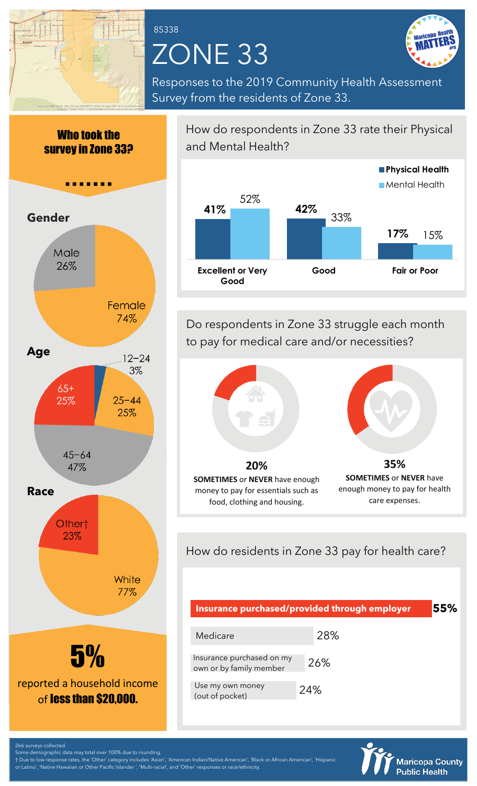

Who took the

# ZONE 33 85338



Responses to the 2019 Community Health Assessment Survey from the residents of Zone 33.



How do respondents in Zone 33 rate their Physical and Mental Health?



Do respondents in Zone 33 struggle each month to pay for medical care and/or necessities?



How do residents in Zone 33 pay for health care?

| Insurance purchased/provided through employer        | 55% |     |  |
|------------------------------------------------------|-----|-----|--|
| Medicare                                             |     | 28% |  |
| Insurance purchased on my<br>own or by family member |     | 26% |  |
| Use my own money<br>(out of pocket)                  | 24% |     |  |



266 surveys collected.

Some demographic data may total over 100% due to rounding. † Due to low response rates, the 'Other' category includes 'Asian', 'American Indian/Native American', 'Black or African American', 'Hispanic or Latino', 'Native Hawaiian or Other Pacific Islander ', 'Multi-racial', and 'Other' responses or race/ethnicity.